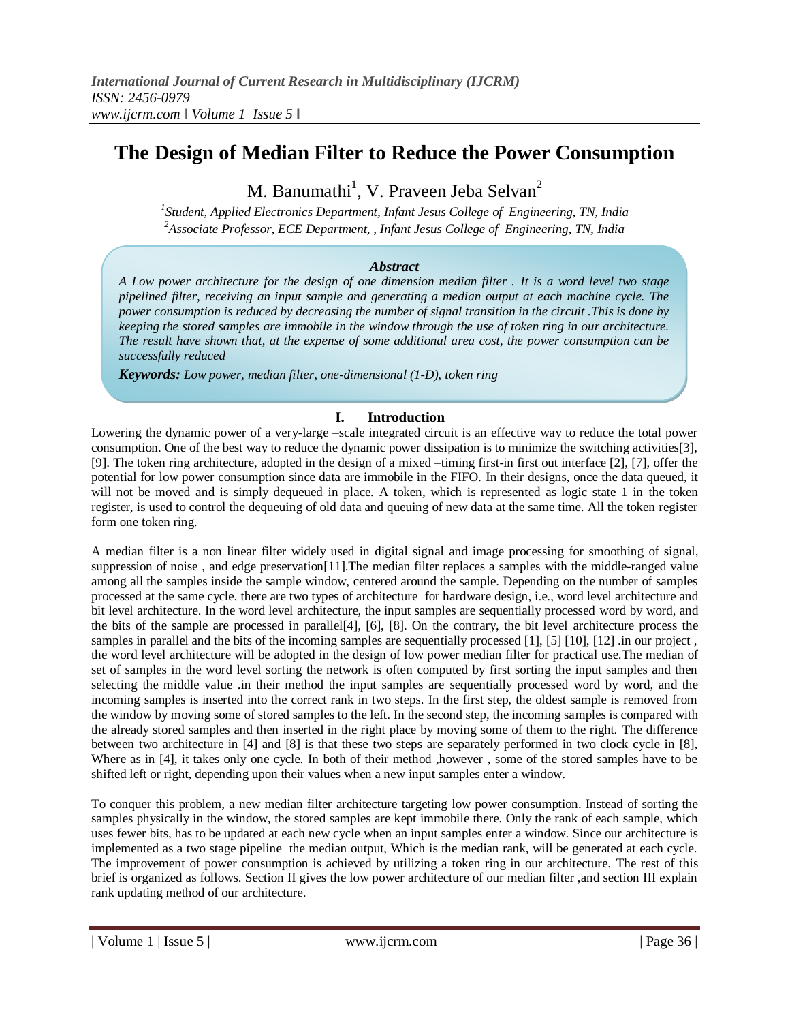# **The Design of Median Filter to Reduce the Power Consumption**

M. Banumathi<sup>1</sup>, V. Praveen Jeba Selvan<sup>2</sup>

*1 Student, Applied Electronics Department, Infant Jesus College of Engineering, TN, India <sup>2</sup>Associate Professor, ECE Department, , Infant Jesus College of Engineering, TN, India* 

## *Abstract*

*A Low power architecture for the design of one dimension median filter . It is a word level two stage pipelined filter, receiving an input sample and generating a median output at each machine cycle. The power consumption is reduced by decreasing the number of signal transition in the circuit .This is done by keeping the stored samples are immobile in the window through the use of token ring in our architecture. The result have shown that, at the expense of some additional area cost, the power consumption can be successfully reduced*

*Keywords: Low power, median filter, one-dimensional (1-D), token ring*

## **I. Introduction**

Lowering the dynamic power of a very-large –scale integrated circuit is an effective way to reduce the total power consumption. One of the best way to reduce the dynamic power dissipation is to minimize the switching activities[3], [9]. The token ring architecture, adopted in the design of a mixed –timing first-in first out interface [2], [7], offer the potential for low power consumption since data are immobile in the FIFO. In their designs, once the data queued, it will not be moved and is simply dequeued in place. A token, which is represented as logic state 1 in the token register, is used to control the dequeuing of old data and queuing of new data at the same time. All the token register form one token ring.

A median filter is a non linear filter widely used in digital signal and image processing for smoothing of signal, suppression of noise , and edge preservation[11].The median filter replaces a samples with the middle-ranged value among all the samples inside the sample window, centered around the sample. Depending on the number of samples processed at the same cycle. there are two types of architecture for hardware design, i.e., word level architecture and bit level architecture. In the word level architecture, the input samples are sequentially processed word by word, and the bits of the sample are processed in parallel[4], [6], [8]. On the contrary, the bit level architecture process the samples in parallel and the bits of the incoming samples are sequentially processed [1], [5] [10], [12] .in our project , the word level architecture will be adopted in the design of low power median filter for practical use.The median of set of samples in the word level sorting the network is often computed by first sorting the input samples and then selecting the middle value .in their method the input samples are sequentially processed word by word, and the incoming samples is inserted into the correct rank in two steps. In the first step, the oldest sample is removed from the window by moving some of stored samples to the left. In the second step, the incoming samples is compared with the already stored samples and then inserted in the right place by moving some of them to the right. The difference between two architecture in [4] and [8] is that these two steps are separately performed in two clock cycle in [8], Where as in [4], it takes only one cycle. In both of their method , however, some of the stored samples have to be shifted left or right, depending upon their values when a new input samples enter a window.

To conquer this problem, a new median filter architecture targeting low power consumption. Instead of sorting the samples physically in the window, the stored samples are kept immobile there. Only the rank of each sample, which uses fewer bits, has to be updated at each new cycle when an input samples enter a window. Since our architecture is implemented as a two stage pipeline the median output, Which is the median rank, will be generated at each cycle. The improvement of power consumption is achieved by utilizing a token ring in our architecture. The rest of this brief is organized as follows. Section II gives the low power architecture of our median filter ,and section III explain rank updating method of our architecture.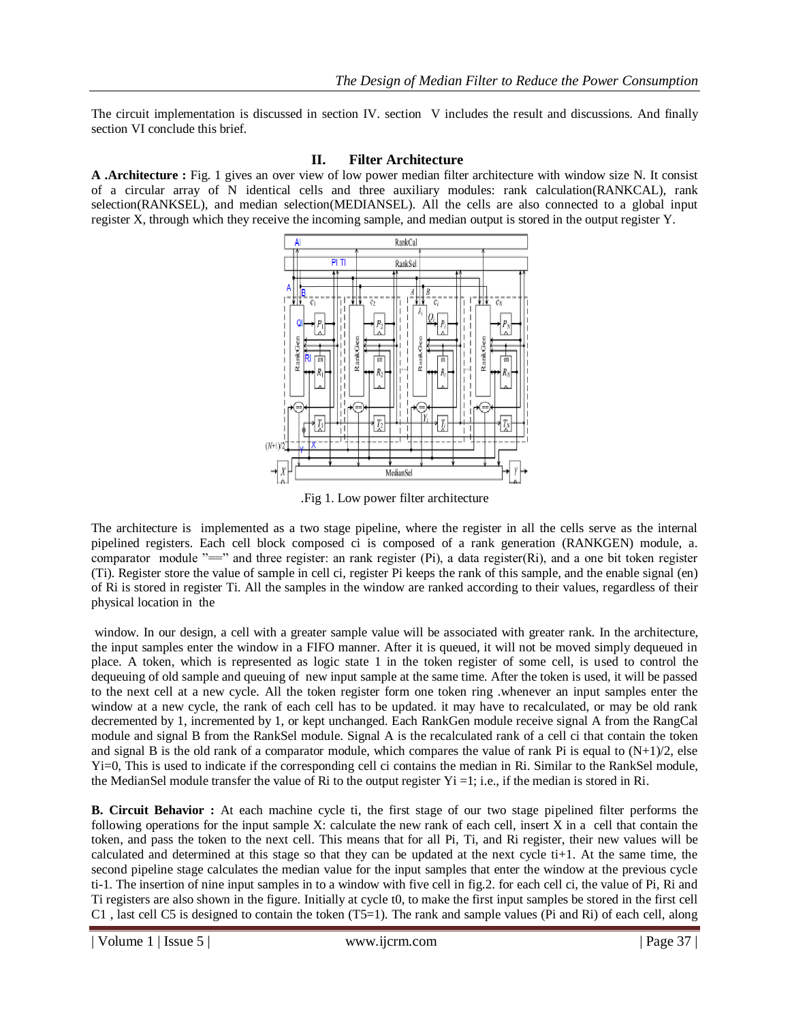The circuit implementation is discussed in section IV. section V includes the result and discussions. And finally section VI conclude this brief.

## **II. Filter Architecture**

**A .Architecture :** Fig. 1 gives an over view of low power median filter architecture with window size N. It consist of a circular array of N identical cells and three auxiliary modules: rank calculation(RANKCAL), rank selection(RANKSEL), and median selection(MEDIANSEL). All the cells are also connected to a global input register X, through which they receive the incoming sample, and median output is stored in the output register Y.



.Fig 1. Low power filter architecture

The architecture is implemented as a two stage pipeline, where the register in all the cells serve as the internal pipelined registers. Each cell block composed ci is composed of a rank generation (RANKGEN) module, a. comparator module  $"=="$  and three register: an rank register (Pi), a data register(Ri), and a one bit token register (Ti). Register store the value of sample in cell ci, register Pi keeps the rank of this sample, and the enable signal (en) of Ri is stored in register Ti. All the samples in the window are ranked according to their values, regardless of their physical location in the

window. In our design, a cell with a greater sample value will be associated with greater rank. In the architecture, the input samples enter the window in a FIFO manner. After it is queued, it will not be moved simply dequeued in place. A token, which is represented as logic state 1 in the token register of some cell, is used to control the dequeuing of old sample and queuing of new input sample at the same time. After the token is used, it will be passed to the next cell at a new cycle. All the token register form one token ring .whenever an input samples enter the window at a new cycle, the rank of each cell has to be updated. it may have to recalculated, or may be old rank decremented by 1, incremented by 1, or kept unchanged. Each RankGen module receive signal A from the RangCal module and signal B from the RankSel module. Signal A is the recalculated rank of a cell ci that contain the token and signal B is the old rank of a comparator module, which compares the value of rank Pi is equal to  $(N+1)/2$ , else Yi=0, This is used to indicate if the corresponding cell ci contains the median in Ri. Similar to the RankSel module, the MedianSel module transfer the value of Ri to the output register  $yi = 1$ ; i.e., if the median is stored in Ri.

**B. Circuit Behavior :** At each machine cycle ti, the first stage of our two stage pipelined filter performs the following operations for the input sample X: calculate the new rank of each cell, insert X in a cell that contain the token, and pass the token to the next cell. This means that for all Pi, Ti, and Ri register, their new values will be calculated and determined at this stage so that they can be updated at the next cycle  $t_{i+1}$ . At the same time, the second pipeline stage calculates the median value for the input samples that enter the window at the previous cycle ti-1. The insertion of nine input samples in to a window with five cell in fig.2. for each cell ci, the value of Pi, Ri and Ti registers are also shown in the figure. Initially at cycle t0, to make the first input samples be stored in the first cell C1 , last cell C5 is designed to contain the token (T5=1). The rank and sample values (Pi and Ri) of each cell, along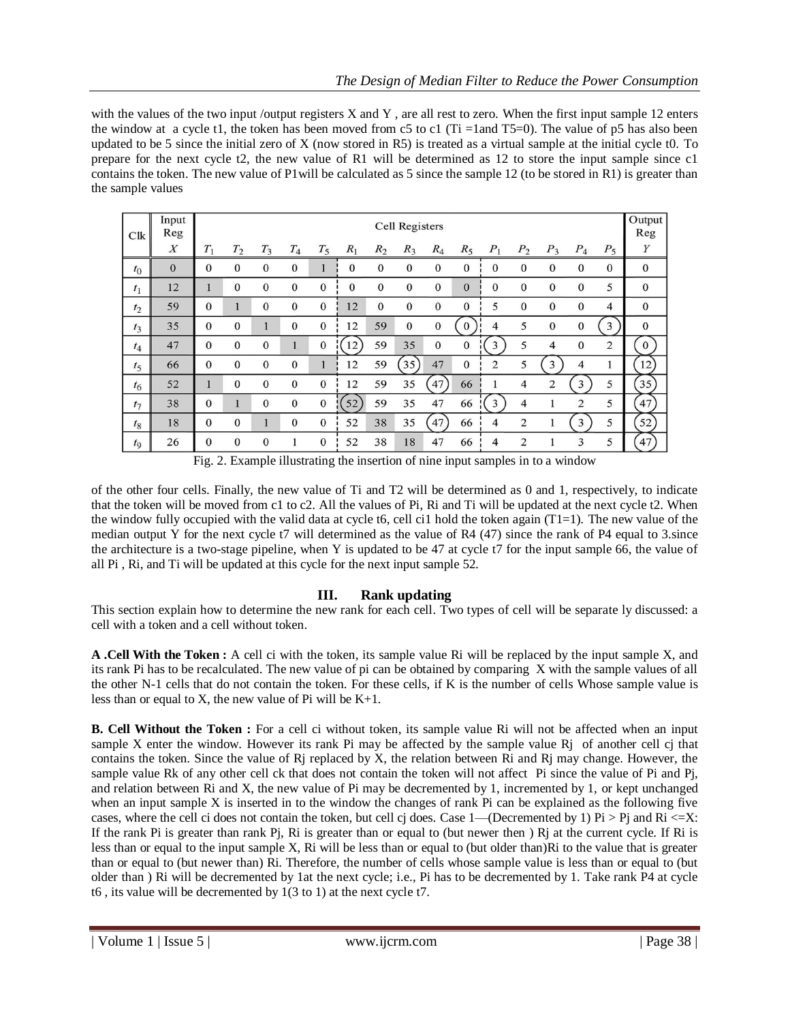with the values of the two input /output registers X and Y, are all rest to zero. When the first input sample 12 enters the window at a cycle t1, the token has been moved from c5 to c1 (Ti =1and T5=0). The value of p5 has also been updated to be 5 since the initial zero of X (now stored in R5) is treated as a virtual sample at the initial cycle t0. To prepare for the next cycle t2, the new value of R1 will be determined as 12 to store the input sample since c1 contains the token. The new value of P1will be calculated as 5 since the sample 12 (to be stored in R1) is greater than the sample values

| Clk            | Input<br>Reg | Cell Registers |              |              |              |                |              |              |                  |              |              |                |                |              |                |                | Output<br>Reg    |
|----------------|--------------|----------------|--------------|--------------|--------------|----------------|--------------|--------------|------------------|--------------|--------------|----------------|----------------|--------------|----------------|----------------|------------------|
|                | X            | $T_1$          | $T_2$        | $T_3$        | $T_4$        | $T_5$          | $R_1$        | $R_2$        | $R_3$            | $R_4$        | $R_5$        | $P_1$          | P <sub>2</sub> | $P_3$        | $P_4$          | $P_5$          | Y                |
| $t_{0}$        | $\mathbf{0}$ | $\mathbf{0}$   | $\mathbf{0}$ | $\mathbf{0}$ | $\mathbf{0}$ |                | $\mathbf{0}$ | $\mathbf{0}$ | $\mathbf{0}$     | $\mathbf{0}$ | $\mathbf{0}$ | $\mathbf{0}$   | $\mathbf{0}$   | $\mathbf{0}$ | $\mathbf{0}$   | $\mathbf{0}$   | $\mathbf{0}$     |
| $t_1$          | 12           |                | $\mathbf{0}$ | $\Omega$     | $\mathbf{0}$ | $\mathbf{0}$   | $\mathbf{0}$ | $\mathbf{0}$ | $\mathbf{0}$     | $\mathbf{0}$ | $\Omega$     | $\mathbf{0}$   | $\mathbf{0}$   | $\Omega$     | $\Omega$       | 5              | $\mathbf{0}$     |
| t <sub>2</sub> | 59           | $\mathbf{0}$   | 1            | $\bf{0}$     | $\mathbf{0}$ | $\mathbf{0}$   | 12           | $\mathbf{0}$ | $\mathbf{0}$     | $\mathbf{0}$ | $\mathbf{0}$ | 5              | $\mathbf{0}$   | $\mathbf{0}$ | $\theta$       | $\overline{4}$ | $\mathbf{0}$     |
| $t_3$          | 35           | $\mathbf{0}$   | $\mathbf{0}$ |              | $\mathbf{0}$ | $\mathbf{0}$   | 12           | 59           | $\boldsymbol{0}$ | $\mathbf{0}$ | $\Omega$     | 4              | 5              | $\mathbf{0}$ | $\mathbf{0}$   | 3              | $\boldsymbol{0}$ |
| $t_4$          | 47           | $\mathbf{0}$   | $\mathbf{0}$ | $\mathbf{0}$ |              | $\bf{0}$       | 12           | 59           | 35               | $\mathbf{0}$ | $\mathbf{0}$ | 3              | 5              | 4            | $\mathbf{0}$   | 2              | $\bf{0}$         |
| $t_5$          | 66           | $\Omega$       | $\mathbf{0}$ | $\mathbf{0}$ | $\mathbf{0}$ |                | 12           | 59           | 35)              | 47           | $\theta$     | $\overline{2}$ | 5              | 3            | 4              |                | 12               |
| $t_6$          | 52           |                | $\mathbf{0}$ | $\mathbf{0}$ | $\mathbf{0}$ | $\overline{0}$ | 12           | 59           | 35               | 47           | 66           |                | $\overline{4}$ | 2            | 3              | 5              | 35               |
| $t_7$          | 38           | $\mathbf{0}$   | $\mathbf{1}$ | $\Omega$     | $\mathbf{0}$ | $\mathbf{0}$   | 52           | 59           | 35               | 47           | 66           | 3              | 4              |              | $\overline{2}$ | 5              | 47               |
| $t_8$          | 18           | $\mathbf{0}$   | $\mathbf{0}$ |              | $\mathbf{0}$ | $\mathbf{0}$   | 52           | 38           | 35               | 47           | 66           | 4              | $\overline{2}$ |              | 3              | 5              | 52               |
| $t_{9}$        | 26           | 0              | $\mathbf{0}$ | $\mathbf{0}$ |              | $\bf{0}$       | 52           | 38           | 18               | 47           | 66           | 4              | 2              |              | 3              | 5              | 47               |

Fig. 2. Example illustrating the insertion of nine input samples in to a window

of the other four cells. Finally, the new value of Ti and T2 will be determined as 0 and 1, respectively, to indicate that the token will be moved from c1 to c2. All the values of Pi, Ri and Ti will be updated at the next cycle t2. When the window fully occupied with the valid data at cycle t6, cell ci1 hold the token again (T1=1). The new value of the median output Y for the next cycle t7 will determined as the value of R4 (47) since the rank of P4 equal to 3.since the architecture is a two-stage pipeline, when Y is updated to be 47 at cycle t7 for the input sample 66, the value of all Pi , Ri, and Ti will be updated at this cycle for the next input sample 52.

# **III. Rank updating**

This section explain how to determine the new rank for each cell. Two types of cell will be separate ly discussed: a cell with a token and a cell without token.

**A .Cell With the Token :** A cell ci with the token, its sample value Ri will be replaced by the input sample X, and its rank Pi has to be recalculated. The new value of pi can be obtained by comparing X with the sample values of all the other N-1 cells that do not contain the token. For these cells, if K is the number of cells Whose sample value is less than or equal to X, the new value of Pi will be  $K+1$ .

**B. Cell Without the Token :** For a cell ci without token, its sample value Ri will not be affected when an input sample X enter the window. However its rank Pi may be affected by the sample value Rj of another cell cj that contains the token. Since the value of Rj replaced by X, the relation between Ri and Rj may change. However, the sample value Rk of any other cell ck that does not contain the token will not affect Pi since the value of Pi and Pj, and relation between Ri and X, the new value of Pi may be decremented by 1, incremented by 1, or kept unchanged when an input sample X is inserted in to the window the changes of rank Pi can be explained as the following five cases, where the cell ci does not contain the token, but cell cj does. Case 1—(Decremented by 1) Pi > Pj and Ri <= X: If the rank Pi is greater than rank Pj, Ri is greater than or equal to (but newer then ) Rj at the current cycle. If Ri is less than or equal to the input sample X, Ri will be less than or equal to (but older than)Ri to the value that is greater than or equal to (but newer than) Ri. Therefore, the number of cells whose sample value is less than or equal to (but older than ) Ri will be decremented by 1at the next cycle; i.e., Pi has to be decremented by 1. Take rank P4 at cycle t6 , its value will be decremented by 1(3 to 1) at the next cycle t7.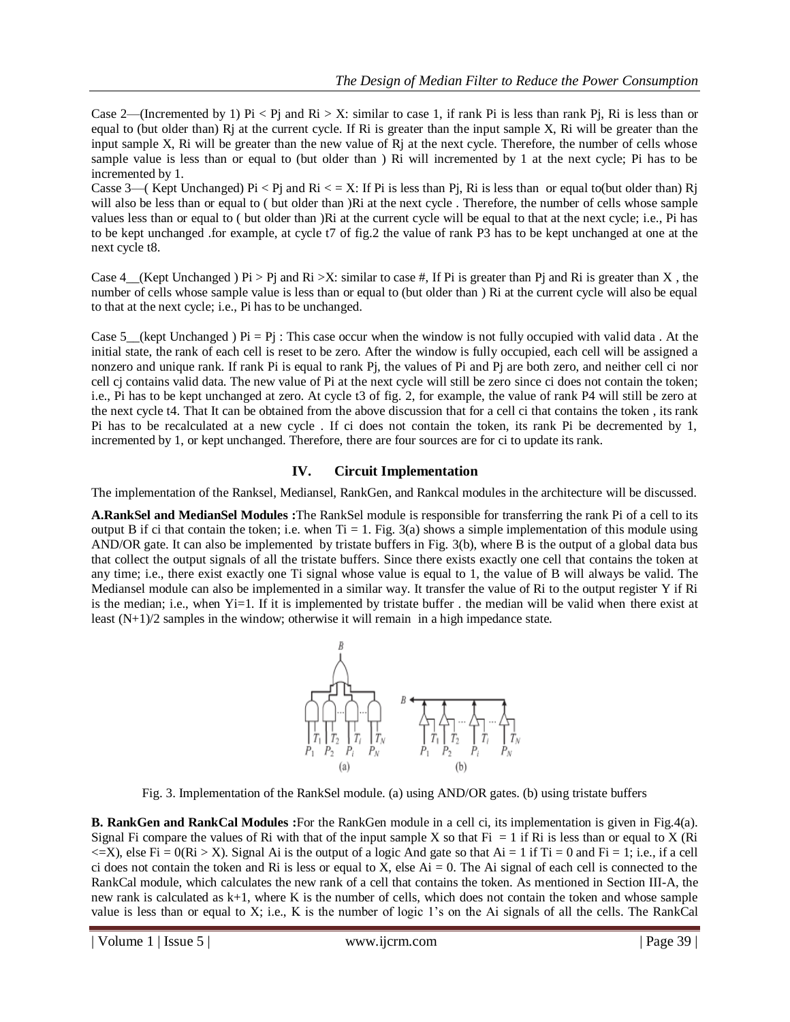Case 2—(Incremented by 1) Pi < Pj and Ri > X: similar to case 1, if rank Pi is less than rank Pj, Ri is less than or equal to (but older than)  $R$ j at the current cycle. If  $R$ i is greater than the input sample X,  $R$ i will be greater than the input sample X, Ri will be greater than the new value of Ri at the next cycle. Therefore, the number of cells whose sample value is less than or equal to (but older than ) Ri will incremented by 1 at the next cycle; Pi has to be incremented by 1.

Casse 3—( Kept Unchanged) Pi < Pj and Ri < = X: If Pi is less than Pj, Ri is less than or equal to(but older than) Rj will also be less than or equal to ( but older than )Ri at the next cycle. Therefore, the number of cells whose sample values less than or equal to ( but older than )Ri at the current cycle will be equal to that at the next cycle; i.e., Pi has to be kept unchanged .for example, at cycle t7 of fig.2 the value of rank P3 has to be kept unchanged at one at the next cycle t8.

Case  $4$ <sub>\_</sub>(Kept Unchanged ) Pi > Pj and Ri >X: similar to case #, If Pi is greater than Pj and Ri is greater than X, the number of cells whose sample value is less than or equal to (but older than ) Ri at the current cycle will also be equal to that at the next cycle; i.e., Pi has to be unchanged.

Case 5 (kept Unchanged ) Pi = Pj : This case occur when the window is not fully occupied with valid data . At the initial state, the rank of each cell is reset to be zero. After the window is fully occupied, each cell will be assigned a nonzero and unique rank. If rank Pi is equal to rank Pj, the values of Pi and Pj are both zero, and neither cell ci nor cell cj contains valid data. The new value of Pi at the next cycle will still be zero since ci does not contain the token; i.e., Pi has to be kept unchanged at zero. At cycle t3 of fig. 2, for example, the value of rank P4 will still be zero at the next cycle t4. That It can be obtained from the above discussion that for a cell ci that contains the token , its rank Pi has to be recalculated at a new cycle . If ci does not contain the token, its rank Pi be decremented by 1, incremented by 1, or kept unchanged. Therefore, there are four sources are for ci to update its rank.

# **IV. Circuit Implementation**

The implementation of the Ranksel, Mediansel, RankGen, and Rankcal modules in the architecture will be discussed.

**A.RankSel and MedianSel Modules :**The RankSel module is responsible for transferring the rank Pi of a cell to its output B if ci that contain the token; i.e. when  $Ti = 1$ . Fig. 3(a) shows a simple implementation of this module using AND/OR gate. It can also be implemented by tristate buffers in Fig. 3(b), where B is the output of a global data bus that collect the output signals of all the tristate buffers. Since there exists exactly one cell that contains the token at any time; i.e., there exist exactly one Ti signal whose value is equal to 1, the value of B will always be valid. The Mediansel module can also be implemented in a similar way. It transfer the value of Ri to the output register Y if Ri is the median; i.e., when Yi=1. If it is implemented by tristate buffer . the median will be valid when there exist at least (N+1)/2 samples in the window; otherwise it will remain in a high impedance state.



Fig. 3. Implementation of the RankSel module. (a) using AND/OR gates. (b) using tristate buffers

**B. RankGen and RankCal Modules :**For the RankGen module in a cell ci, its implementation is given in Fig.4(a). Signal Fi compare the values of Ri with that of the input sample X so that Fi  $= 1$  if Ri is less than or equal to X (Ri  $\leq$   $\leq$   $\geq$   $\leq$   $\leq$   $\leq$   $\leq$   $\leq$   $\leq$   $\leq$   $\leq$   $\leq$   $\leq$   $\leq$   $\leq$   $\leq$   $\leq$   $\leq$   $\leq$   $\leq$   $\leq$   $\leq$   $\leq$   $\leq$   $\leq$   $\leq$   $\leq$   $\leq$   $\leq$   $\leq$   $\leq$   $\leq$   $\leq$   $\leq$   $\leq$   $\leq$   $\leq$ ci does not contain the token and Ri is less or equal to X, else  $Ai = 0$ . The Ai signal of each cell is connected to the RankCal module, which calculates the new rank of a cell that contains the token. As mentioned in Section III-A, the new rank is calculated as k+1, where K is the number of cells, which does not contain the token and whose sample value is less than or equal to X; i.e., K is the number of logic 1's on the Ai signals of all the cells. The RankCal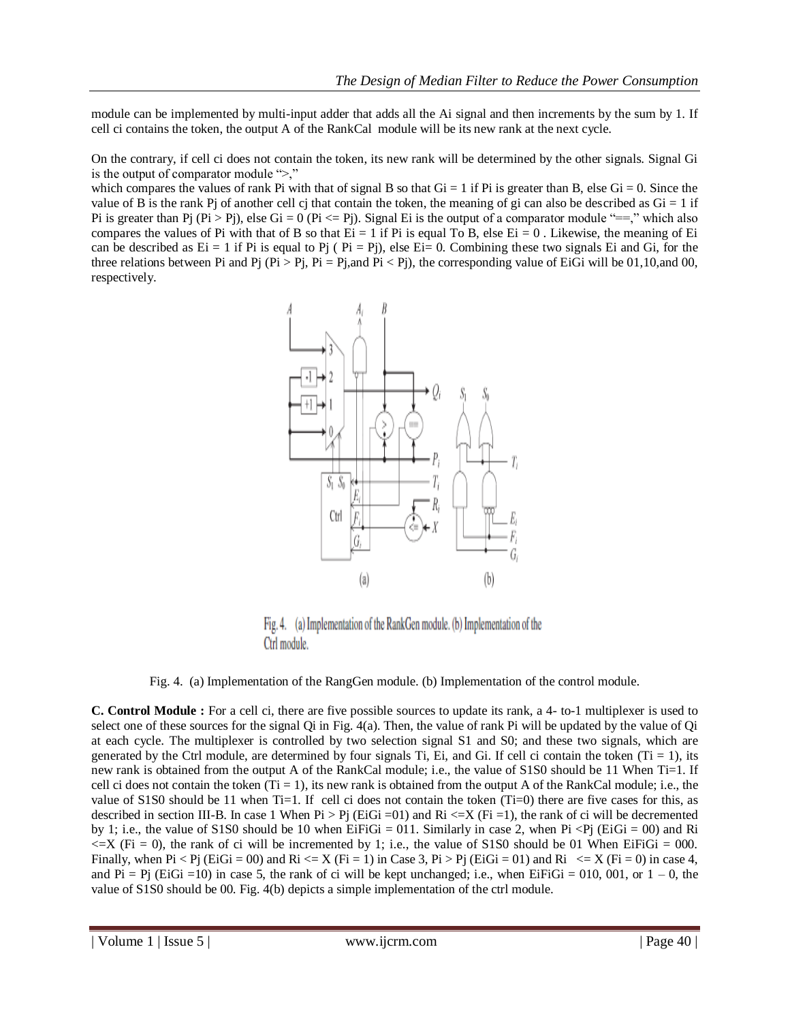module can be implemented by multi-input adder that adds all the Ai signal and then increments by the sum by 1. If cell ci contains the token, the output A of the RankCal module will be its new rank at the next cycle.

On the contrary, if cell ci does not contain the token, its new rank will be determined by the other signals. Signal Gi is the output of comparator module  $\leq$ .

which compares the values of rank Pi with that of signal B so that  $Gi = 1$  if Pi is greater than B, else  $Gi = 0$ . Since the value of B is the rank Pj of another cell cj that contain the token, the meaning of gi can also be described as  $Gi = 1$  if Pi is greater than Pj (Pi > Pj), else Gi = 0 (Pi  $\lt$ = Pj). Signal Ei is the output of a comparator module "==," which also compares the values of Pi with that of B so that  $Ei = 1$  if Pi is equal To B, else  $Ei = 0$ . Likewise, the meaning of Ei can be described as  $E_i = 1$  if Pi is equal to Pj (  $Pi = Pj$ ), else  $E_i = 0$ . Combining these two signals Ei and Gi, for the three relations between Pi and Pj (Pi > Pj, Pi = Pj,and Pi < Pj), the corresponding value of EiGi will be 01,10,and 00, respectively.



Fig. 4. (a) Implementation of the RankGen module. (b) Implementation of the Ctrl module.

Fig. 4. (a) Implementation of the RangGen module. (b) Implementation of the control module.

**C. Control Module :** For a cell ci, there are five possible sources to update its rank, a 4- to-1 multiplexer is used to select one of these sources for the signal Qi in Fig.  $4(a)$ . Then, the value of rank Pi will be updated by the value of Qi at each cycle. The multiplexer is controlled by two selection signal S1 and S0; and these two signals, which are generated by the Ctrl module, are determined by four signals Ti, Ei, and Gi. If cell ci contain the token (Ti = 1), its new rank is obtained from the output A of the RankCal module; i.e., the value of S1S0 should be 11 When Ti=1. If cell ci does not contain the token  $(Ti = 1)$ , its new rank is obtained from the output A of the RankCal module; i.e., the value of  $S1S0$  should be 11 when Ti=1. If cell ci does not contain the token (Ti=0) there are five cases for this, as described in section III-B. In case 1 When  $Pi > Pj$  (EiGi = 01) and  $Ri \le X$  (Fi = 1), the rank of ci will be decremented by 1; i.e., the value of S1S0 should be 10 when EiFiGi = 011. Similarly in case 2, when Pi <Pj (EiGi = 00) and Ri  $\leq$   $\geq$   $\leq$   $\leq$   $\leq$   $\leq$   $\leq$   $\leq$   $\leq$   $\leq$   $\leq$   $\leq$   $\leq$   $\leq$   $\leq$   $\leq$   $\leq$   $\leq$   $\leq$   $\leq$   $\leq$   $\leq$   $\leq$   $\leq$   $\leq$   $\leq$   $\leq$   $\leq$   $\leq$   $\leq$   $\leq$   $\leq$   $\leq$   $\leq$   $\leq$   $\leq$   $\leq$ Finally, when Pi < Pj (EiGi = 00) and Ri <= X (Fi = 1) in Case 3, Pi > Pj (EiGi = 01) and Ri <= X (Fi = 0) in case 4, and Pi = Pj (EiGi =10) in case 5, the rank of ci will be kept unchanged; i.e., when EiFiGi = 010, 001, or  $1 - 0$ , the value of S1S0 should be 00. Fig. 4(b) depicts a simple implementation of the ctrl module.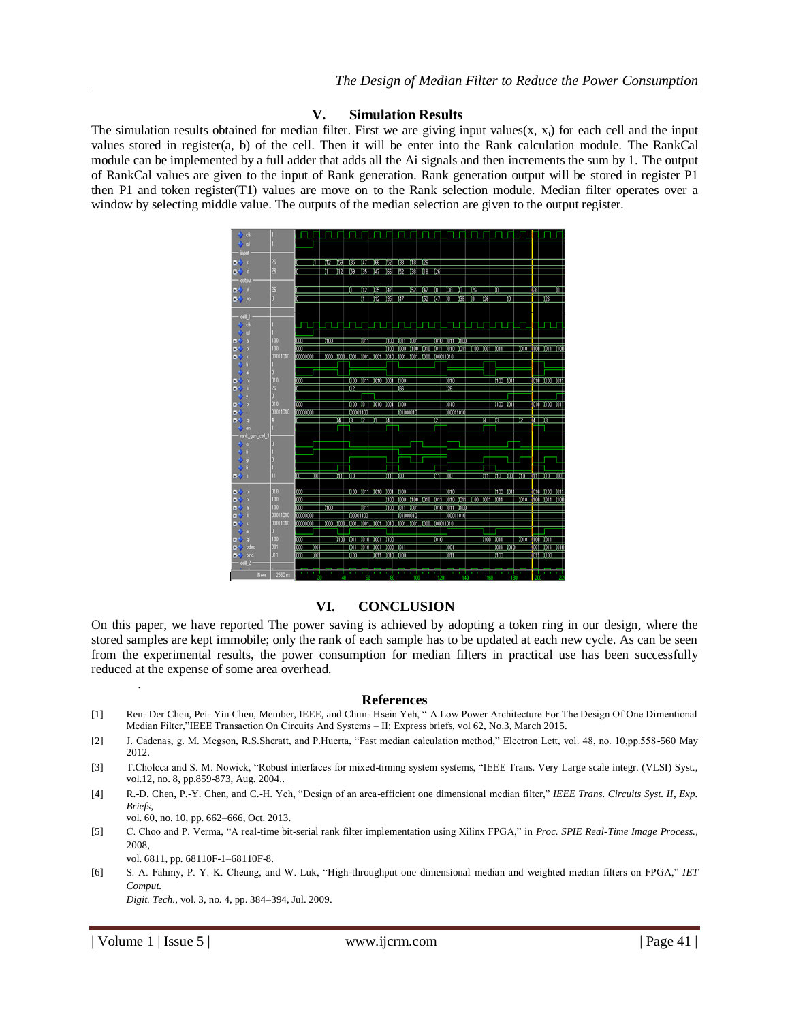#### **V. Simulation Results**

The simulation results obtained for median filter. First we are giving input values(x,  $x_i$ ) for each cell and the input values stored in register(a, b) of the cell. Then it will be enter into the Rank calculation module. The RankCal module can be implemented by a full adder that adds all the Ai signals and then increments the sum by 1. The output of RankCal values are given to the input of Rank generation. Rank generation output will be stored in register P1 then P1 and token register(T1) values are move on to the Rank selection module. Median filter operates over a window by selecting middle value. The outputs of the median selection are given to the output register.



## **VI. CONCLUSION**

On this paper, we have reported The power saving is achieved by adopting a token ring in our design, where the stored samples are kept immobile; only the rank of each sample has to be updated at each new cycle. As can be seen from the experimental results, the power consumption for median filters in practical use has been successfully reduced at the expense of some area overhead.

#### **References**

- [1] Ren- Der Chen, Pei- Yin Chen, Member, IEEE, and Chun- Hsein Yeh, "A Low Power Architecture For The Design Of One Dimentional Median Filter,"IEEE Transaction On Circuits And Systems – II; Express briefs, vol 62, No.3, March 2015.
- [2] J. Cadenas, g. M. Megson, R.S.Sheratt, and P.Huerta, "Fast median calculation method," Electron Lett, vol. 48, no. 10,pp.558-560 May 2012.
- [3] T.Cholcca and S. M. Nowick, "Robust interfaces for mixed-timing system systems, "IEEE Trans. Very Large scale integr. (VLSI) Syst., vol.12, no. 8, pp.859-873, Aug. 2004..
- [4] R.-D. Chen, P.-Y. Chen, and C.-H. Yeh, "Design of an area-efficient one dimensional median filter," IEEE Trans. Circuits Syst. II, Exp. *Briefs*,
	- vol. 60, no. 10, pp. 662–666, Oct. 2013.
- [5] C. Choo and P. Verma, "A real-time bit-serial rank filter implementation using Xilinx FPGA," in *Proc. SPIE Real-Time Image Process.*, 2008, vol. 6811, pp. 68110F-1–68110F-8.
- [6] S. A. Fahmy, P. Y. K. Cheung, and W. Luk, "High-throughput one dimensional median and weighted median filters on FPGA," *IET Comput. Digit. Tech.*, vol. 3, no. 4, pp. 384–394, Jul. 2009.

| Volume 1 | Issue 5 | www.ijcrm.com | Page 41 | Page 41 | Page 41 | Page 41 | Page 41 | Page 41 | Page 41 | Page 41 | Page 41 | Page 41 | Page 41 | Page 41 | Page 41 | Page 41 | Page 41 | Page 41 | Page 41 | Page 41 | Pag

.